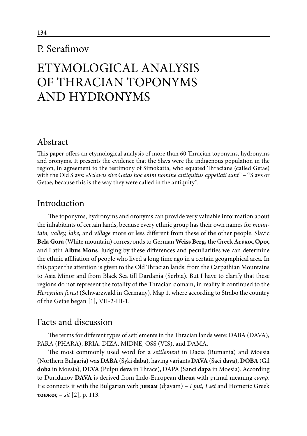# P. Serafimov

# ETYMOLOGICAL ANALYSIS OF THRACIAN TOPONYMS AND HYDRONYMS

## Abstract

This paper offers an etymological analysis of more than 60 Thracian toponyms, hydronyms and oronyms. It presents the evidence that the Slavs were the indigenous population in the region, in agreement to the testimony of Simokatta, who equated Thracians (called Getae) with the Old Slavs: «*Sclavos sive Getas hoc enim nomine antiquitus appellati sunt*" **– "**Slavs or Getae, because this is the way they were called in the antiquity".

### Introduction

The toponyms, hydronyms and oronyms can provide very valuable information about the inhabitants of certain lands, because every ethnic group has their own names for *mountain, valley, lake,* and *village* more or less different from these of the other people. Slavic **Bela Gora** (White mountain) corresponds to German **Weiss Berg,** the Greek **Λέύκος Oρος** and Latin **Albus Mons**. Judging by these differences and peculiarities we can determine the ethnic affiliation of people who lived a long time ago in a certain geographical area. In this paper the attention is given to the Old Thracian lands: from the Carpathian Mountains to Asia Minor and from Black Sea till Dardania (Serbia). But I have to clarify that these regions do not represent the totality of the Thracian domain, in reality it continued to the *Hercynian forest* (Schwarzwald in Germany), Map 1, where according to Strabo the country of the Getae began [1], VII-2-III-1.

#### Facts and discussion

The terms for different types of settlements in the Thracian lands were: DABA (DAVA), PARA (PHARA), BRIA, DIZA, MIDNE, OSS (VIS), and DAMA.

The most commonly used word for a *settlement* in Dacia (Rumania) and Moesia (Northern Bulgaria) was **DABA** (Syki **daba**), having variants **DAVA** (Saci **dava**), **DOBA** (Gil **doba** in Moesia), **DEVA** (Pulpu **deva** in Thrace), DAPA (Sanci **dapa** in Moesia). According to Duridanov **DAVA** is derived from Indo-European **dheua** with primal meaning *camp*. He connects it with the Bulgarian verb **дявам** (djavam) – *I put, I set* and Homeric Greek **τοωκος** – *sit* [2], p. 113.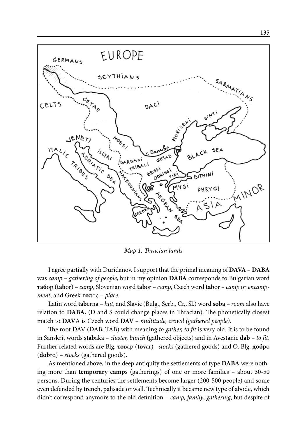

*Map 1. Thracian lands* 

I agree partially with Duridanov. I support that the primal meaning of **DAVA** – **DABA**  was *camp* – *gathering of people*, but in my opinion **DABA** corresponds to Bulgarian word **таб**ор (**tab**or) – *camp*, Slovenian word **tab**or *– camp*, Czech word **tab**or *– camp* or *encampment*, and Greek **τοπ**ος – *place.*

Latin word **tab**erna – *hut*, and Slavic (Bulg., Serb., Cr., Sl.) word **soba** – *room* also have relation to **DABA.** (D and S could change places in Thracian). The phonetically closest match to **DAV**A is Czech word **DAV** – *multitude, crowd (gathered people).*

The root DAV (DAB, TAB) with meaning *to gather, to fit* is very old. It is to be found in Sanskrit words s**tab**aka – *cluster, bunch* (gathered objects) and in Avestanic **dab** – *to fit*. Further related words are Blg. **тов**ар (**tov**ar)– *stocks* (gathered goods) and O. Blg. **доб**ро (**dob**ro) – *stocks* (gathered goods).

As mentioned above, in the deep antiquity the settlements of type **DABA** were nothing more than **temporary camps** (gatherings) of one or more families – about 30-50 persons. During the centuries the settlements become larger (200-500 people) and some even defended by trench, palisade or wall. Technically it became new type of abode, which didn't correspond anymore to the old definition – *camp, family*, *gathering*, but despite of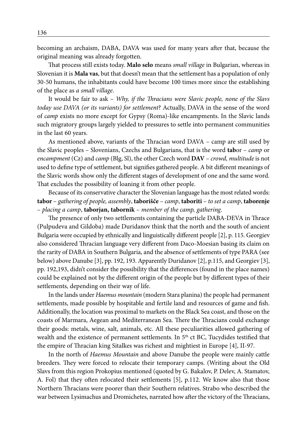becoming an archaism, DABA, DAVA was used for many years after that, because the original meaning was already forgotten.

That process still exists today. **Malo selo** means *small village* in Bulgarian, whereas in Slovenian it is **Mala vas**, but that doesn't mean that the settlement has a population of only 30-50 humans, the inhabitants could have become 100 times more since the establishing of the place as *a small village*.

It would be fair to ask – *Why, if the Thracians were Slavic people, none of the Slavs today use DAVA (or its variants) for settlement*? Actually, DAVA in the sense of the word of *camp* exists no more except for Gypsy (Roma)-like encampments. In the Slavic lands such migratory groups largely yielded to pressures to settle into permanent communities in the last 60 years.

As mentioned above, variants of the Thracian word DAVA – camp are still used by the Slavic peoples – Slovenians, Czechs and Bulgarians, that is the word **tab**or *– camp* or *encampment* (Cz) and *camp* (Blg, Sl), the other Czech word **DAV** – *crowd, multitude* is not used to define type of settlement, but signifies gathered people. A bit different meanings of the Slavic words show only the different stages of development of one and the same word. That excludes the possibility of loaning it from other people.

Because of its conservative character the Slovenian language has the most related words: **tabor** – *gathering of people, assembly*, **taborišče** *– camp*, **taboriti** – *to set a camp*, **taborenje** – *placing a camp*, **taborjan, tabornik** – *member of the camp, gathering*.

The presence of only two settlements containing the particle DABA-DEVA in Thrace (Pulpudeva and Gildoba) made Duridanov think that the north and the south of ancient Bulgaria were occupied by ethnically and linguistically different people [2], p. 115. Georgiev also considered Thracian language very different from Daco-Moesian basing its claim on the rarity of DABA in Southern Bulgaria, and the absence of settlements of type PARA (see below) above Danube [3], pp. 192, 193. Apparently Duridanov [2], p.115, and Georgiev [3], pp. 192,193, didn't consider the possibility that the differences (found in the place names) could be explained not by the different origin of the people but by different types of their settlements, depending on their way of life.

In the lands under *Haemus mountain* (modern Stara planina) the people had permanent settlements, made possible by hospitable and fertile land and resources of game and fish. Additionally, the location was proximal to markets on the Black Sea coast, and those on the coasts of Marmara, Aegean and Mediterranean Sea. There the Thracians could exchange their goods: metals, wine, salt, animals, etc. All these peculiarities allowed gathering of wealth and the existence of permanent settlements. In 5<sup>th</sup> ct BC, Tucydides testified that the empire of Thracian king Sitalkes was richest and mightiest in Europe [4], II-97.

In the north of *Haemus Mountain* and above Danube the people were mainly cattle breeders. They were forced to relocate their temporary camps. (Writing about the Old Slavs from this region Prokopius mentioned (quoted by G. Bakalov, P. Delev, A. Stamatov, A. Fol) that they often relocated their settlements [5], p.112. We know also that those Northern Thracians were poorer than their Southern relatives. Strabo who described the war between Lysimachus and Dromichetes, narrated how after the victory of the Thracians,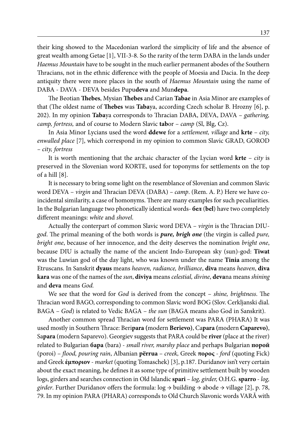their king showed to the Macedonian warlord the simplicity of life and the absence of great wealth among Getae [1], VII-3-8. So the rarity of the term DABA in the lands under *Haemus Mountain* have to be sought in the much earlier permanent abodes of the Southern Thracians, not in the ethnic difference with the people of Moesia and Dacia. In the deep antiquity there were more places in the south of *Haemus Mountain* using the name of DABA - DAVA - DEVA besides Pupu**deva** and Mun**depa**.

The Beotian **Thebes**, Mysian **Thebes** and Carian **Tabae** in Asia Minor are examples of that (The oldest name of **Thebes** was **Taba**ya, according Czech scholar B. Hrozny [6], p. 202). In my opinion **Taba**ya corresponds to Thracian DABA, DEVA, DAVA – *gathering, camp, fortress,* and of course to Modern Slavic **tab**or – *camp* (Sl, Blg, Cz).

In Asia Minor Lycians used the word **ddewe** for a *settlement, village* and **krte** – *city, enwalled place* [7], which correspond in my opinion to common Slavic GRAD, GOROD *– city, fortress*

It is worth mentioning that the archaic character of the Lycian word **krte** – *city* is preserved in the Slovenian word KORTE, used for toponyms for settlements on the top of a hill [8].

It is necessary to bring some light on the resemblance of Slovenian and common Slavic word DEVA – *virgin* and Thracian DEVA (DABA) *– camp*. (Rem. A. P.) Here we have coincidental similarity, a case of homonyms. There are many examples for such peculiarities. In the Bulgarian language two phonetically identical words- **бел** (**bel**) have two completely different meanings: *white* and *shovel*.

Actually the conterpart of common Slavic word DEVA – *virgin* is the Thracian DIU*god*. The primal meaning of the both words is *pure, brigh one* (the virgin is called *pure, bright one*, because of her innocence, and the deity deserves the nomination *bright one*, because DIU is actually the name of the ancient Indo-European sky (sun)-god: **Tiwat** was the Luwian god of the day light, who was known under the name **Tinia** among the Etruscans. In Sanskrit **dyaus** means *heaven, radiance, brilliance*, **diva** means *heaven*, **diva kara** was one of the names of the *sun*, **diviya** means *celestial, divine*, **deva**na means *shining* and **deva** means *God.*

We see that the word for *God* is derived from the concept – *shine, brightness*. The Thracian word BAGO, corresponding to common Slavic word BOG (Slov. Cerkljanski dial. BAGA – *God*) is related to Vedic BAGA – *the sun* (BAGA means also God in Sanskrit).

Another common spread Thracian word for settlement was PARA (PHARA) It was used mostly in Southern Thrace: Beri**para (**modern **Berievo)**, Ca**para (**modern **Caparevo)**, Sa**para** (modern Saparevo). Georgiev suggests that PARA could be **river** (place at the river) related to Bulgarian **бара** (bara) - *small river, marshy place* and perhaps Bulgarian **порой** (poroi) – *flood, pouring rain*, Albanian **përrua** – *creek,* Greek **πορος** - *ford* (quoting Fick) and Greek **έμποριον** - *market* (quoting Tomaschek) [3], p.187. Duridanov isn't very certain about the exact meaning, he defines it as some type of primitive settlement built by wooden logs, girders and searches connection in Old Islandic **spari** – *log, girder,* O.H.G. **sparro** - *log, girder*. Further Duridanov offers the formula: log → building → abode → village [2], p. 78, 79. In my opinion PARA (PHARA) corresponds to Old Church Slavonic words VARĂ with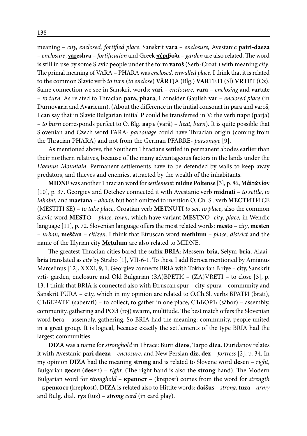meaning – *city, enclosed, fortified place*. Sanskrit **vara** – *enclosure,* Avestanic **pairi-daeza** – *enclosure*, **vareshva** – *fortification* and Greek **πέριβολι** – *garden* are also related. The word is still in use by some Slavic people under the form **varoš** (Serb-Croat.) with meaning *city*. The primal meaning of VARA – PHARA was *enclosed, enwalled place*. I think that it is related to the common Slavic verb *to turn* (*to enclose*) **VĂR**TJA (Blg.) **VAR**TETI (Sl) **VR**TET (Cz). Same connection we see in Sanskrit words: **vari** – *enclosure,* **vara** – *enclosing* and **var**tate – *to turn*. As related to Thracian **para, phara**, I consider Gaulish **var** – *enclosed place* (in Durno**var**ia and A**var**icum). (About the difference in the initial consonat in **p**ara and **v**aroš, I can say that in Slavic Bulgarian initial P could be transferred in V: the verb **п**аря (**p**arja) – *to burn* corresponds perfect to O. Blg. **в**аръ (**v**arǎ) – *heat, burn*). It is quite possible that Slovenian and Czech word FARA- *parsonage* could have Thracian origin (coming from the Thracian PHARA) and not from the German PFARRE- *parsonage* [9].

As mentioned above, the Southern Thracians settled in permanent abodes earlier than their northern relatives, because of the many advantageous factors in the lands under the *Haemus Mountain*. Permanent settlements have to be defended by walls to keep away predators, and thieves and enemies, attracted by the wealth of the inhabitants.

**MIDNE** was another Thracian word for *settlement*: **midne Poltense** [3], p. 86**, Μάίτώνίόν**  [10], p. 37. Georgiev and Detchev connected it with Avestanic verb **midnati** – *to settle*, *to inhabit,* and **maetana** *– abode*, but both omitted to mention O. Ch. Sl. verb **МЕСТ**ИТИ СЕ (MESTITI SE) – *to take place*, Croatian verb **METN**UTI *to set, to place*, also the common Slavic word **MEST**O – *place, town*, which have variant **MESTN**O- *city, place,* in Wendic language [11], p. 72. Slovenian language offers the most related words: **mesto** – *city*, **mesten**  – *urban,* **meščan** – *citizen*. I think that Etruscan word **methlum** – *place, district* and the name of the Illyrian city **Metulum** are also related to MIDNE.

The greatest Thracian cities bared the suffix **BRIA**: Messem-**bria**, Selym-**bria**, Alaai**bria** translated as *city* by Strabo [1], VII-6-1. To these I add Beroea mentioned by Amianus Marcelinus [12], XXXI, 9, 1. Georgiev connects BRIA with Tokharian B riye – city, Sanskrit vrti- garden, enclosure and Old Bulgarian (ЗА)ВРЕТИ – (ZA)VRETI – to close [3], p. 13. I think that BRIA is connected also with Etruscan spur – city, spura – community and Sanskrit PURA – city, which in my opinion are related to O.Ch.Sl. verbs **БРАТИ** (brati), СЪБEРАТИ (saberati) – to collect, to gather in one place, СЪБОРЪ (săbor) – assembly, community, gathering and  $PO\ddot{U}$  (roj) swarm, multitude. The best match offers the Slovenian word bera – assembly, gathering. So BRIA had the meaning: community, people united in a great group. It is logical, because exactly the settlements of the type BRIA had the largest communities.

**DIZA** was a name for *stronghold* in Thrace: Burti **dizos**, Tarpo **diza.** Duridanov relates it with Avestanic **pari daeza** *– enclosure*, and New Persian **diz, dez** – *fortress* [2], p. 34. In my opinion **DIZA** had the meaning **strong** and is related to Slovene word **des**en – *right*, Bulgarian **дес**ен (**des**en) – *right*. (The right hand is also the **strong** hand). The Modern Bulgarian word for *stronghold* – **крепост** – (krepost) comes from the word for *strength* – **крепкост** (krepkost). **DIZA** is related also to Hittite words: **daššus** – *strong*, **tuza** – *army* and Bulg. dial. **туз** (tuz) – *strong card* (in card play).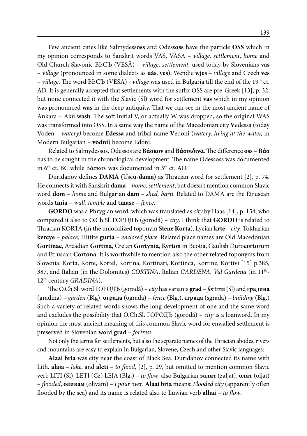Few ancient cities like Salmydess**oss** and Odess**oss** have the particle **OSS** which in my opinion corresponds to Sanskrit words VAS, VASA – *village, settlement*, *home* and Old Church Slavonic ВЬСЪ (VESĂ) – *village, settlement,* used today by Slovenians **vas**  – *village* (pronounced in some dialects as **uás**, **ves**), Wendic **wjes** – *village* and Czech **ves**  – *village*. The word ВЬСЪ (VESĂ) - *village* was used in Bulgaria till the end of the 19th ct. AD. It is generally accepted that settlements with the suffix OSS are pre-Greek [13], p. 32, but none connected it with the Slavic (Sl) word for settlement **vas** which in my opinion was pronounced **was** in the deep antiquity. That we can see in the most ancient name of Ankara – Aku **wash**. The soft initial V, or actually W was dropped, so the original WAS was transformed into OSS. In a same way the name of the Macedonian city **V**edessa (today Voden – *watery)* become **Edessa** and tribal name **V**edoni (*watery, living at the water,* in Modern Bulgarian – **vodni**) become Edoni.

Related to Salmydessos, Odessos are **Βάσκον** and **Βάσσιδινά**. The difference **oss** – **Βάσ** has to be sought in the chronological development. The name Odessoss was documented in 6<sup>th</sup> ct. BC while Βάσκον was documented in 5<sup>th</sup> ct. AD.

Duridanov defines **DAMA** (Uscu-**dama**) as Thracian word for settlement [2], p. 74. He connects it with Sanskrit **dama** – *home, settlement*, but doesn't mention common Slavic word **dom** – *home* and Bulgarian **dam** – *shed, barn*. Related to DAMA are the Etruscan words **tmia** – *wall*, *temple* and **tmase** – *fence*.

**GORDO** was a Phrygian word, which was translated as *city* by Haas [14], p. 154, who compared it also to O.Ch.Sl. ГОРОДЪ (gorodǎ) – *city*. I think that **GORDO** is related to Thracian KORTA (in the unlocalized toponym **Stene Korta**), Lycian **krte** *– city*, Tokharian **kercye** – *palace,* Hittite **gurta** – *enclosed place*. Related place names are Old Macedonian **Gortinae**, Arcadian **Gortina**, Cretan **Gortynia**, **Kyrton** in Beotia, Gaulish Duro**corto**rum and Etruscan **Cortona**. It is worthwhile to mention also the other related toponyms from Slovenia: Korta, Korte, Kortel, Kortina, Kortinari, Kortinca, Kortine, Kortivi [15] p.385, 387, and Italian (in the Dolomites) *CORTINA*, Italian *GARDENA, Val Gardena* (in 11th-12th century *GRADINA*).

The O.Ch.Sl. word ГОРОДЪ (gorodǎ) – *city* has variants **grad** – *fortress* (Sl) and **градина** (gradina) – *garden* (Blg), **ограда** (ograda) – *fence* (Blg.), **сграда** (sgrada) – *building* (Blg.) Such a variety of related words shows the long development of one and the same word and excludes the possibility that O.Ch.Sl. ГОРОДЪ (gorodǎ) – *city* is a loanword. In my opinion the most ancient meaning of this common Slavic word for enwalled settlement is preserved in Slovenian word **grad** – *fortress*.

Not only the terms for settlements, but also the separate names of the Thracian abodes, rivers and mountains are easy to explain in Bulgarian, Slovene, Czech and other Slavic languages:

**Alaai bria** was city near the coast of Black Sea. Duridanov connected its name with Lith. **alaja** *– lake*, and **aleti** – *to flood*, [2], p. 29, but omitted to mention common Slavic verb LITI (Sl), LETI (Cz) LEJA (Blg.) – *to flow*, also Bulgarian **залят** (zaljat), **олят** (oljat) – *flooded*, **оливам** (olivam) *– I pour over*. **Alaai bria** means: *Flooded city* (apparently often flooded by the sea) and its name is related also to Luwian verb **alhai** – *to flow*.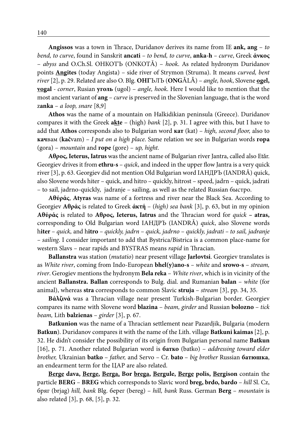**Angissos** was a town in Thrace, Duridanov derives its name from IE **ank, ang** – *to bend, to curve*, found in Sanskrit **ancati** *– to bend, to curve*, **anka-h** *– curve*, Greek **άνκος**  – *abyss* and O.Ch.Sl. ОНКОТЪ (ONKOTǍ) – *hook*. As related hydronym Duridanov points **Angites** (today Angista) – side river of Strymon (Struma). It means *curved, bent river* [2], p. 29. Related are also O. Blg. **ОНГ**ЪЛЪ (**ONG**ǍLǍ) – *angle, hook*, Slovene **ogel, vogal** *- corner*, Rusian **уголь** (ugol) – *angle, hook*. Here I would like to mention that the most ancient variant of **ang** – *curve* is preserved in the Slovenian language, that is the word z**anka** – *a loop, snare* [8,9]

**Athos** was the name of a mountain on Halkidikian peninsula (Greece). Duridanov compares it with the Greek **akte** – (high) *bank* [2], p. 31. I agree with this, but I have to add that **Athos** corresponds also to Bulgarian word **кат** (kat) – *high, second floor,* also to **кач**вам (**kač**vam) – *I put on a high place*. Same relation we see in Bulgarian words **гора** (gora) – *mountain* and **горе** (gore) – *up, hight.*

**Αθρος, Ieterus, Iatrus** was the ancient name of Bulgarian river Jantra, called also Etǎr. Georgiev drives it from **ethru-s** – *quick*, and indeed in the upper flow Jantra is a very quick river [3], p. 63. Georgiev did not mention Old Bulgarian word IАНДРЪ (IANDRĂ) quick, also Slovene words hiter – quick, and hitro – quickly, hitrost – speed, jadrn – quick, jadrati – to sail, jadrno-quickly, jadranje – sailing, as well as the related Russian быстро.

**Aθύράς**, **Atyras** was name of a fortress and river near the Black Sea. According to Georgiev **Aθράς** is related to Greek **άκτή** – (*high) sea bank* [3], p. 63, but in my opinion **Aθύράς** is related to **Αθρος, Ieterus, Iatrus** and the Thracian word for *quick* **– atras,**  corresponding to Old Bulgarian word IАНДРЪ (IANDRǍ) *quick*, also Slovene words h**iter** – *quick,* and h**itro** – *quickly, jadrn* – *quick, jadrno* – *quickly, jadrati – to sail, jadranje – sailing*. I consider important to add that Bystrica/Bistrica is a common place-name for western Slavs – near rapids and BYSTRAS means *rapid* in Thracian.

**Ballanstra** was station (*mutatio*) near present village **Jarlovtsi**. Georgiev translates is as *White river*, coming from Indo-European **bhel(y)ano-s** *– white* and **srowo-s** – *stream, river*. Gerogiev mentions the hydronym **Bela reka** – *White river*, which is in vicinity of the ancient **Ballanstra. Ballan** corresponds to Bulg. dial. and Rumanian **balan** – *white* (for animal), whereas **stra** corresponds to common Slavic **struja** – *stream* [3], pp. 34, 35.

**Βάλζινά** was a Thracian village near present Turkish-Bulgarian border. Georgiev compares its name with Slovene word **blazina** – *beam, girder* and Russian **bolozno** – *tick beam,* Lith **balzienas** – *girder* [3], p. 67.

**Batkunion** was the name of a Thracian settlement near Pazardjik, Bulgaria (modern **Batkun**). Duridanov compares it with the name of the Lith. village **Batkuni kaimas** [2], p. 32. He didn't consider the possibility of its origin from Bulgarian personal name **Batkun** [16], p. 71. Another related Bulgarian word is **батко** (batko) – *addressing toward elder brother,* Ukrainian **batko** – *father,* and Servo – Cr. **bato** – *big brother* Russian **батюшка**, an endearment term for the ЦАР are also related.

**Berge dava, Berge, Berga, Bor brega, Bergule, Berge polis, Bergison** contain the particle **BERG** – **BREG** which corresponds to Slavic word **breg, brdo, bardo** – *hill* Sl. Cz, бряг (brjag) *hill, bank* Blg. берег (bereg) – *hill, bank* Russ. German **Berg** – *mountain* is also related [3], p. 68, [5], p. 32.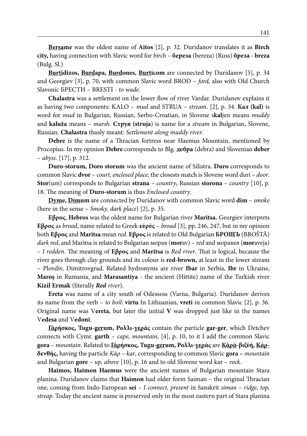**Bersame** was the oldest name of **Aitos** [2], p. 32. Duridanov translates it as **Birch city,** having connection with Slavic word for *birch* – **береза** (bereza) (Russ) **бреза - breza** (Bulg. Sl.)

**Burtidizos, Burdapa, Burdones, Burticom** are connected by Duridanov [5], p. 34 and Georgiev [3], p. 70, with common Slavic word BROD – *ford,* also with Old Church Slavonic БРЕСТИ – BRESTI - *to wade*.

**Chalastra** was a settlement on the lower flow of river Vardar. Duridanov explains it as having two components: KALO – *mud* and STRUA – *stream*. [2], p. 34. **Кал (kal)** is word for *mud* in Bulgarian, Russian, Serbo-Croatian, in Slovene s**kal**jen means *muddy* and **kaluža** means – *marsh.* **Cтруя (struja**) is name for a *stream* in Bulgarian, Slovene, Russian. **Chalastra** thusly meant: *Settlement along muddy river*.

**Debre** is the name of a Thracian fortress near Haemus Mountain, mentioned by Procopius. In my opinion **Debre** corresponds to Blg. **дебра** (debra) and Slovenian **deber** – *abyss*. [17], p. 312.

**Duro-storum, Doro storum** was the ancient name of Silistra. **Duro** corresponds to common Slavic **dvor** – *court, enclosed place*, the closests match is Slovene word duri – *door*. **Stor**(um) corresponds to Bulgarian **strana** – *country*, Russian **storona** – *country* [10], p. 18. The meaning of **Duro-storum** is thus *Enclosed country*.

**Dyme, Dimum** are connected by Duridanov with common Slavic word **dim** – *smoke* (here in the sense – *Smoky, dark place*) [2], p. 35.

**Eβρος**, **Hebros** was the oldest name for Bulgarian river **Maritsa.** Georgiev interprets **Eβρος** as *broad*, name related to Greek **εύρύς** – *broad* [3], pp. 246, 247, but in my opinion both **Eβρος** and **Maritsa** mean *red.* **Eβρος** is related to Old Bulgarian **БРОЩЪ** (BROŠTĂ) *dark red*, and Maritsa is related to Bulgarian морав (**mor**av) – *red* and моравея (**mor**aveja) *– I redden*. The meaning of **Eβρος** and **Maritsa** is *Red river*. That is logical, because the river goes through clay grounds and its colour is **red-brown,** at least in the lower stream – Plovdiv, Dimitrovgrad. Related hydronyms are river **Ibar** in Serbia, **Ibr** in Ukraine, **Maroş** in Rumania, and **Marasantiya** - the ancient (Hittite) name of the Turkish river **Kizil Ermak** (literally *Red river*).

**Ereta** was name of a city south of Odessoss (Varna, Bulgaria). Duridanov derives its name from the verb – *to boil*: **virtu** In Lithuanian, **vreti** in common Slavic [2], p. 36. Original name was V**ereta**, but later the initial **V** was dropped just like in the names V**edesa** and V**edoni**.

**Γάρήσκος, Tugu-gerum, Ρολλι-γεράς** contain the particle **gar-ger**, which Detchev connects with Cymr. **garth** – *cape, mountain,* [4], p. 10, to it I add the common Slavic **gora** – *mountain*. Related to **Γάρήσκος, Tugu-gerum, Ρολλι-γεράς** are **Κάρά-βιζύή, Κάρδενθής,** having the particle *Κάρ – kar*, corresponding to common Slavic **gora –** *mountain* and Bulgarian **gore** – *up, above* [10], p. 16 and to old Slovene word kar – *rock*.

**Haimos, Haimon Haemus** were the ancient names of Bulgarian mountain Stara planina. Duridanov claims that **Haimon** had older form Saiman – the original Thracian one, coming from Indo-European **sei** – *I connect, present* in Sanskrit *siman* – *ridge, top, streap.* Today the ancient name is preserved only in the most eastern part of Stara planina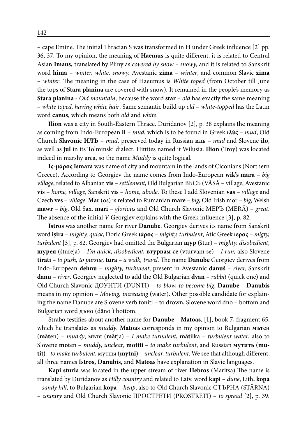– cape Emine. The initial Thracian S was transformed in H under Greek influence [2] pp. 36, 37. To my opinion, the meaning of **Haemus** is quite different, it is related to Central Asian **Imaus,** translated by Pliny as *covered by snow – snowy,* and it is related to Sanskrit word **hima** – *winter, white, snowy,* Avestanic **zima** – *winter*, and common Slavic **zima**  – *winter*. The meaning in the case of Haeumus is *White toped* (from October till June the tops of **Stara planina** are covered with snow). It remained in the people's memory as **Stara planina -** *Old mountain*, because the word **star** – *old* has exactly the same meaning – *white toped, having white hair*. Same semantic build up *old* – *white-topped* has the Latin word **canus**, which means both *old* and *white*.

**Ilion** was a city in South-Eastern Thrace. Duridanov [2], p. 38 explains the meaning as coming from Indo-European **il** – *mud*, which is to be found in Greek **ιλύς** – *mud*, Old Church **Slavonic ИЛЪ** – *mud*, preserved today in Russian **иль** – *mud* and Slovene **ilo**, as well as **jul** in its Tolminski dialect. Hittites named it Wilusia. **Ilion** (Troy) was located indeed in marshy area, so the name *Muddy* is quite logical.

**Iς-μάρος Ismara** was name of city and mountain in the lands of Ciconians (Northern Greece). According to Georgiev the name comes from Indo-European **wik's mara** – *big village*, related to Albanian **vis** – *settlement*, Old Bulgarian ВЬСЬ (VĂSĂ – village, Avestanic **vis** – *home, village*, Sanskrit **vis** – *home, abode*. To these I add Slovenian **vas** – *village* and Czech **ves** – *village.* **Mar** (os) is related to Rumanian **mare** – *big,* Old Irish mor *– big,* Welsh **mawr** – *big*, Old Sax. **mari** – *glorious* and Old Church Slavonic MEPЪ (MERĂ) – *great*. The absence of the initial *V* Georgiev explains with the Greek influence [3], p. 82.

**Istros** was another name for river **Danube**. Georgiev derives its name from Sanskrit word **işira** – *mighty, quick*, Doric Greek **ιάρος** – *mighty, turbulent*, Atic Greek **ίερος** – *migty, turbulent* [3], p. 82. Georgiev had omitted the Bulgarian **щур** (štur) – *mighty, disobedient*, **щурея** (štureja) – *I'm quick, disobedient,* **втурвам се** (vturvam se) *– I run,* also Slovene **tirati** – *to push, to pursue,* **tura** *– a walk, travel.* The name **Danube** Georgiev derives from Indo-European **dehnu** – *mighty, turbulent*, present in Avestanic **danuš** – *river,* Sanskrit **danu** – *river*. Georgiev neglected to add the Old Bulgarian **dvan** – *rabbit* (quick one) and Old Church Slavonic ДОУНТИ (DUNTI) – *to blow, to become big*. **Danube – Danubis** means in my opinion *– Moving, increasing* (water). Other possible candidate for explaining the name Danube are Slovene verb toniti – to drown, Slovene word dno – bottom and Bulgarian word дъно (dăno ) bottom.

Strabo testifies about another name for **Danube – Matoas**, [1], book 7, fragment 65, which he translates as *muddy*. **Matoas** corresponds in my opinion to Bulgarian **мът**ен (**măt**en) – *muddy*, мътя (**măt**ja) – *I make turbulent*, **măt**ilka – *turbulent water*, also to Slovene **mot**en – *muddy, unclear*, **motiti** – *to make turbulent*, and Russian **мутить** (**mutit)**– *to make turbulent,* мутны (**mytni)** – *unclear, turbulent*. We see that although different, all three names **Istros, Danubis,** and **Matoas** have explanation in Slavic languages.

**Kapi sturia** was located in the upper stream of river **Hebros** (Maritsa) The name is translated by Duridanov as *Hilly country* and related to Latv. word **kapi** – *dune*, Lith**. kopa** – *sandy hill*, to Bulgarian **kopa** – *heap*, also to Old Church Slavonic СТЪРНА (STĂRNA) – *country* and Old Church Slavonic ПРОСТРЕТИ (PROSTRETI) – *to spread* [2], p. 39.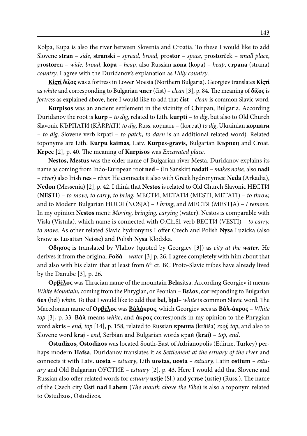Kolpa, Kupa is also the river between Slovenia and Croatia. To these I would like to add Slovene **stran** – *side*, **stranski** – *spread, broad,* pro**stor** – *space*, pro**stor**ček – *small place*, pro**stor**en – *wide, broad,* **kopa** – *heap*, also Russian **копа (**kopa) – *heap*, **страна** (strana) *country*. I agree with the Duridanov's explanation as *Hilly country*.

**Kίςτί δίζος** was a fortress in Lower Moesia (Northern Bulgaria). Georgiev translates **Kίςτί**  as *white* and corresponding to Bulgarian **чист** (čist) – *clean* [3], p. 84. The meaning of **δίζος** is *fortress* as explained above, here I would like to add that **čist** *– clean* is common Slavic word.

**Kurpisos** was an ancient settlement in the vicinity of Chirpan, Bulgaria. According Duridanov the root is **kurp** – *to dig*, related to Lith. **kurpti** – *to dig*, but also to Old Church Slavonic КЪРПАТИ (KĂRPATI) *to dig*, Russ. корпать – (korpat) *to dig*, Ukrainian **корпати**  – *to dig*. Slovene verb krpati – *to patch*, *to darn* is an additional related word). Related toponyms are Lith. **Kurpu kaimas**, Latv. **Kurpe**s-**gravis**, Bulgarian **Кърпец** and Croat. **Krpec** [2], p. 40. The meaning of **Kurpisos** was *Excavated place*.

**Nestos, Mestus** was the older name of Bulgarian river Mesta. Duridanov explains its name as coming from Indo-European root **ned** – (In Sanskirt **nadati** – *makes noise,* also **nadi** – *river*) also Irish **nes** – *river.* He connects it also with Greek hydronymes: **Neda** (Arkadia), **Nedon** (Messenia) [2], p. 42. I think that **Nestos** is related to Old Church Slavonic НЕСТИ (**NES**TI) – *to move, to carry, to bring*, МЕСТИ, МЕТАТИ (MESTI, METATI) – *to throw,* and to Modern Bulgarian НОСЯ (NOSJA) – *I bring*, and МЕСТЯ (MESTJA) – *I remove*. In my opinion **Nestos** ment: *Moving, bringing, carying* (water). Nestos is comparable with Visla (Vistula), which name is connected with O.Ch.Sl. verb ВЕСТИ (VESTI) – *to carry, to move*. As other related Slavic hydronyms I offer Czech and Polish **Nysa** Luzicka (also know as Lusatian Neisse) and Polish **Nysa** Klodzka.

**Oδησος** is translated by Vlahov (quoted by Georgiev [3]) as *city at the water***.** He derives it from the original *F***οδά** – *water* [3] p. 26. I agree completely with him about that and also with his claim that at least from 6<sup>th</sup> ct. BC Proto-Slavic tribes have already lived by the Danube [3], p. 26.

**Oρβέλος** was Thracian name of the mountain **Bela**sitsa. According Georgiev it means *White Mountain*, coming from the Phrygian, or Peonian – **Βελον**, corresponding to Bulgarian **бел** (bel) *white*. To that I would like to add that **bel, bjal**– *white* is common Slavic word. The Macedonian name of **Oρβέλος** was **Βάλάκρος**, which Georgiev sees as **Βάλ-άκρος** – *White top* [3], p. 33. **Βάλ** means *white*, and **άκρος** corresponds in my opinion to the Phrygian word **akris** – *end, top* [14], p. 158, related to Russian **крыша** (krǎiša) *roof, top*, and also to Slovene word **kraj** - *end*, Serbian and Bulgarian words край (**krai)** – *top, end*.

**Ostudizos, Ostodizos** was located South-East of Adrianopolis (Edirne, Turkey) perhaps modern **Hafsa**. Duridanov translates it as *Settlement at the estuary of the river* and connects it with Latv**. uosta** – *estuary*, Lith **uostas, uosta** *– estuary,* Latin **ostium** *– estuary* and Old Bulgarian ОУСТИЕ *– estuary* [2], p. 43. Here I would add that Slovene and Russian also offer related words for *estuary* **ustje** (Sl.) and **устье** (ustje) (Russ.). The name of the Czech city **Ústi nad Labem** (*The mouth above the Elbe*) is also a toponym related to Ostudizos, Ostodizos.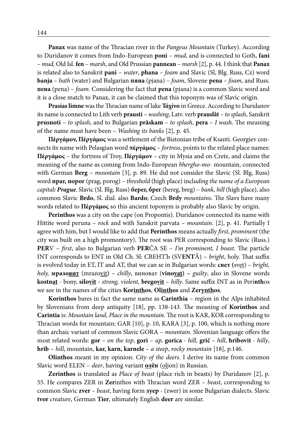**Panax** was name of the Thracian river in the *Pangeus Mountain* (Turkey). According to Duridanov it comes from Indo-European **poni** – *mud*, and is connected to Goth**. fani** – *mud,* Old Isl. **fen** – *marsh*, and Old Prussian **pannean** – *marsh* [2], p. 44. I think that **Panax**  is related also to Sanskrit **pani** – *water*, **phana** – *foam* and Slavic (Sl, Blg. Russ, Cz) word **banja** – *bath* (water) and Bulgarian **пяна** (pjana) – *foam,* Slovene **pena** – *foam,* and Russ. **пена** (pena) – *foam*. Considering the fact that **pena** (pjana) is a common Slavic word and it is a close match to Panax, it can be claimed that this toponym was of Slavic origin.

**Prasias limne** was the Thracian name of lake **Τάχίνο** in Greece. According to Duridanov its name is connected to Lith verb **prausti** – *washing*, Latv. verb **prauslât** *– to splash*, Sanskrit **prusnoti** – *to splash*, and to Bulgarian **prâskam** *– to splash*, **pera** – *I wash.* The meaning of the name must have been – *Washing its banks* [2], p. 45.

**Πέργάμον, Πέργάμος** was a settlement of the Bistonian tribe of Ksanti. Georgiev connects its name with Pelasgian word **πέργάμος** – *fortress*, points to the related place names: **Πέργάμος** – the fortress of Troy, **Πέργάμον** – city in Mysia and on Crete, and claims the meaning of the name as coming from Indo-European *bhergho-mo*- mountain, connected with German **Berg** – *mountain* [3], p. 89. He did not consider the Slavic (Sl. Blg, Russ) word **праг, порог** (prag, porog) – *threshold* (high place) incl*uding the name of a European capital: Prague*. Slavic (Sl. Blg, Russ) **берег, брег** (bereg, breg) – *bank, hill* (high place), also common Slavic **Brdo**, Sl. dial. also **Bardo**; Czech **Brdy** *mountains*. The Slavs have many words related to **Πέργάμος** so this ancient toponym is probably also Slavic by origin.

**Perinthos** was a city on the cape (on Propontis). Duridanov connected its name with Hittite word peruna – *rock* and with Sanskrit parvata *– mountain*. [2], p. 41. Partially I agree with him, but I would like to add that **Perinthos** means actually *first, prominent* (the city was built on a high promontory). The root was PER corresponding to Slavic (Russ.) **PER**V – *first*, also to Bulgarian verb **PER**ČA SE – *I'm prominent, I boast.* The particle INT corresponds to ENT in Old Ch. Sl: СВЕНТЪ (SV**ENT**Ǎ) – *bright*, holy. That suffix is evolved today in ET, IT and AT, that we can se in Bulgarian words: **свет (**svet) – *bright, holy,* **мразовит** (mrazovit**)** – *chilly*, виноват (**vinovat) –** *guilty*, also in Slovene words **kostnat** - bony, **silovit -** *strong, violent,* **bregovit** – *hilly*. Same suffix INT as in Peri**nth**os we see in the names of the cities **Korinthos**, **Olinthos** and **Zerynthos**.

**Korinthos** bares in fact the same name as **Carinthia** – region in the Alps inhabited by Slovenians from deep antiquity [18], pp. 138-143. The meaning of **Korinthos** and **Carintia** is: *Mountain land, Place in the mountain.* The root is KAR, KOR corresponding to Thracian words for mountain: GAR [10], p. 10, KARA [3], p. 100, which is nothing more than archaic variant of common Slavic GORA – *mountain*. Slovenian language offers the most related words: **gor** – *on the top*, **gori** – *up,* **gorica** - *hill*, **grič** – *hill*, **hribovit** - *hilly*, **hrib** – *hill*, mountain, **kar, karn, karnele** – *a steep*, *rocky mountain* [18], p.146.

**Olinthos** meant in my opinion: *City of the deers.* I derive its name from common Slavic word ELEN – *deer*, having variant **олëн** (oljon) in Russian.

**Zerinthos** is translated as *Place of beast* (place rich in beasts) by Duridanov [2], p. 55. He compares ZER in **Zer**inthos with Thracian word ZER – *beast*, corresponding to common Slavic **zver** – *beast*, having form **зуер** - (zwer) in some Bulgarian dialects. Slavic **tvor** *creature*, German **Tier**, ultimately English **deer** are similar.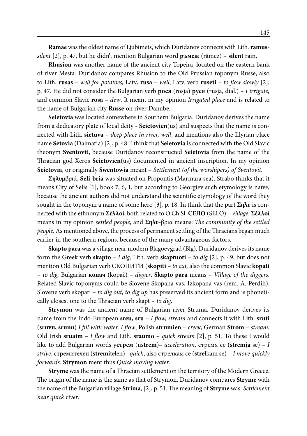**Ramae** was the oldest name of Ljubimets, which Duridanov connects with Lith. **ramus***silent* [2], p. 47, but he didn't mention Bulgarian word **ръмеж** (rămez) – **silent** rain.

**Rhusion** was another name of the ancient city Topeira, located on the eastern bank of river Mesta. Duridanov compares Rhusion to the Old Prussian toponym Russe, also to Lith**. rusas** – *well for potatoes,* Latv**. rusa** – *well*, Latv. verb **ruseti** – *to flow slowly* [2], p. 47. He did not consider the Bulgarian verb **рося** (rosja) **руся** (rusja, dial.) *– I irrigate,*  and common Slavic **rosa** – *dew*. It meant in my opinion *Irrigated place* and is related to the name of Bulgarian city **Russe** on river Danube.

**Seietovia** was located somewhere in Southern Bulgaria. Duridanov derives the name from a dedicatory plate of local deity - **Seietovien**(us) and suspects that the name is connected with Lith. **sietuva** – *deep place in river, well*, and mentions also the Illyrian place name **Setovia** (Dalmatia) [2], p. 48. I think that **Seietovia** is connected with the Old Slavic theonym **Sventovit,** because Duridanov reconstructed **Seietovia** from the name of the Thracian god Xeros **Seietovien**(us) documented in ancient inscription. In my opinion **Seietovia**, or originally **Swentowia** meant – *Settlement (of the worshipers) of Sventovit*.

**Σηλυ**μβριά, **Seli-bria** was situated on Propontis (Marmara sea). Strabo thinks that it means City of Selis [1], book 7, 6, 1, but according to Georgiev such etymology is naïve, because the ancient authors did not understand the scientific etymology of the word they sought in the toponym a name of some hero [3], p. 18. In think that the part **Σηλυ** is connected with the ethnonym **Σέλλοί**, both related to O.Ch.Sl. **СЕЛО** (SELO) – *village*. **Σέλλοί**  means in my opinion *settled people,* and **Σηλυ**-βριά means: *The community of the settled people*. As mentioned above, the process of permanent settling of the Thracians began much earlier in the southern regions, because of the many advantageous factors.

**Skapto para** was a village near modern Blagoevgrad (Blg). Duridanov derives its name form the Greek verb **skapto** – *I dig,* Lith. verb **skaptuoti** – *to dig* [2], p. 49, but does not mention Old Bulgarian verb СКОПИТИ (**skopiti** – *to cut,* also the common Slavic **kopati** – *to dig,* Bulgarian **копач** (kopač**)** – *digger*. **Skapto para** means – *Village of the diggers*. Related Slavic toponyms could be Slovene Skopana vas, Izkopana vas (rem. A. Perdih). Slovene verb skopati – *to dig out*, *to dig up* has preserved its ancient form and is phonetically closest one to the Thracian verb skapt – *to dig*.

**Strymon** was the ancient name of Bulgarian river Struma. Duridanov derives its name from the Indo-European **sreu, sru** – *I flow, stream* and connects it with Lith. **sruti**  (**sruvu, srunu**) *I fill with water, I flow*, Polish **strumien** – *creek*, German **Strom** – *stream*, Old Irish **sruaim** – *I flow* and Lith. **sraumo** – *quick stream* [2], p. 51. To these I would like to add Bulgarian words у**стрем** (u**strem**)*– acceleration*, стремя се (**stremja** se) *– I strive*, стремителен (**strem**itelen)*– quick*, also стрелкам се (**stre**lkam se) – *I move quickly forwards*. **Strymon** ment thus *Quick moving water*.

**Stryme** was the name of a Thracian settlement on the territory of the Modern Greece. The origin of the name is the same as that of Strymon. Duridanov compares **Stryme** with the name of the Bulgarian village **Strima**, [2], p. 51. The meaning of **Stryme** was: *Settlement near quick river*.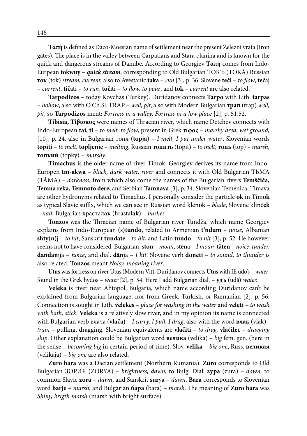**Tάπή** is defined as Daco-Moesian name of settlement near the present Železni vrata (Iron gates). The place is in the valley between Carpatians and Stara planina and is known for the quick and dangerous streams of Danube. According to Georgiev **Tάπή** comes from Indo-Eurpean **tokwuy** – *quick stream*, corresponding to Old Bulgarian ТОКЪ (TOKĂ) Russian **ток** (tok) *stream, current,* also to Avestanic **taka** – *run* [3], p. 36. Slovene **teči** – *to flow*, **teč**aj – *current*, **tič**ati – *to run*, **toč**iti – *to flow, to pour*, and **tok** – *current* are also related.

**Tarpodizos** – today Kovchas (Turkey). Duridanov connects **Tarpo** with Lith. **tarpas**  – *hollow*, also with O.Ch.Sl. TRAP – *well, pit*, also with Modern Bulgarian **трап** (trap) *well, pit*, so **Tarpodizos** ment: *Fortress in a valley, Fortress in a low place* [2], p. 51,52.

**Tibisia, Τίβισκος** were names of Thracian river, which name Detchev connects with Indo-European **tai**, **ti** – *to melt, to flow*, present in Grek **τίφος** – *marshy area*, *wet ground,* [10], p. 24, also in Bulgarian топя (**topja**) – *I melt, I put under water*, Slovenian words **topiti** – *to melt,* **topljenje** – *melting*, Russian **топить** (topit) – *to melt*, **топь** (top) *– marsh*, **топкий** (topky) – *marshy*.

**Timachus** is the older name of river Timok. Georgiev derives its name from Indo-Europen **tm-akwa** – *black, dark water, river* and connects it with Old Bulgarian ТЬМА (TĂMA) – *darkness*, from which also come the names of the Bulgarian rivers **Temščiĉa, Temna reka, Temnoto dere,** and Serbian **Tamnava** [3], p. 34. Slovenian Temenica, Timava are other hydronyms related to Timachus. I personally consider the particle **ok** in Tim**ok** as typical Slavic suffix, which we can see in Russian word klen**ok** – *blade*, Slovene klinč**ek** – *nail*, Bulgarian храстал**ак** (hrastal**ak)** *– bushes.*

**Tonzos** was the Thracian name of Bulgarian river Tundža, which name Georgiev explains from Indo-European **(s)tundo**, related to Armenian **t'ndum** – *noise*, Albanian **shty(n)j** – *to hit*, Sanskrit **tundate** – *to hit*, and Latin **tundo** – *to hit* [3], p. 52. He however seems not to have considered Bulgarian, s**ton** – *moan*, s**ten**a – *I moan*, tă**ten** – *noice*, *tunder,* **dandan**ija – *noice*, and dial. **dăn**ja – *I hit*. Slovene verb **doneti** – *to sound, to thunder* is also related. **Tonzos** meant *Noisy, moaning river*.

**Utus** was fortress on river Utus (Modern Vit). Duridanov connects **Utus** with IE udo's – *water*, found in the Grek hydos – *water* [2], p. 54. Here I add Bulgarian dial. – **удъ** (udă) *water.*

**Veleka** is river near Ahtopol, Bulgaria, which name according Duridanov can't be explained from Bulgarian language, nor from Greek, Turkish, or Rumanian [2], p. 56. Connection is sought in Lith. **velekes** – *place for washing in the water* and **veleti** – *to wash with bath, stick.* **Veleka** is a relatively slow river, and in my opinion its name is connected with Bulgarian verb влача (**vlača)** *– I carry, I pull, I drag*, also with the word **влак (**vlak)*– train* – pulling, dragging. Slovenian equivalents are **vlačiti** – *to drag,* **vlačilec** – *dragging ship*. Other explanation could be Bulgarian word **велика** (velika) – *big* fem. gen. (here in the sense *– becoming big* in certain period of time). Slov. **velika** – *big one*, Russ. **великая** (velikaja) – *big one* are also related.

**Zuro bara** was a Dacian settlement (Northern Rumania). **Zuro** corresponds to Old Bulgarian ЗОРИЯ (ZORYA) – *brightness, dawn*, to Bulg. Dial. **зура** (zura) – *dawn,* to common Slavic **zora** – *dawn*, and Sanskrit **sur**ya – *dawn*. **Bara** corresponds to Slovenian word **barje** – *marsh*, and Bulgarian **бара** (bara) – *marsh*. The meaning of **Zuro bara** was *Shiny, brigth marsh* (marsh with bright surface).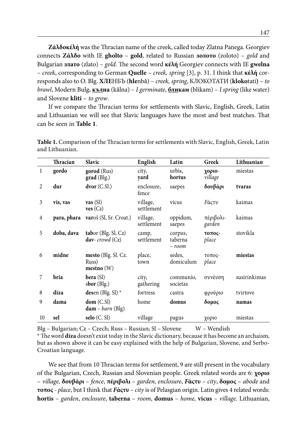**Ζάλδοκέλή** was the Thracian name of the creek, called today Zlatna Panega. Georgiev connects **Ζάλδο** with IE **gholto** – **gold**, related to Russian **золото** (zoloto) – *gold* and Bulgarian **златo** (zlato) – *gold.* The second word **κέλή** Georgiev connects with IE **gwelna** – *creek*, corresponding to German **Quelle** – *creek, spring* [3], p. 31. I think that **κέλή** corresponds also to O. Blg. **ХЛЕ**НБЪ (**hle**nbǎ) – *creek, spring*, КЛОКОТАТИ (**kloko**tati**)** – *to brawl*, Modern Bulg**. кълна** (kǎlna) – *I germinate*, **бликам** (blikam) – *I spring* (like water) and Slovene **kliti** – *to grow*.

If we compare the Thracian terms for settlements with Slavic, English, Greek, Latin and Lithuanian we will see that Slavic languages have the most and best matches. That can be seen in **Table 1**.

|                | Thracian    | <b>Slavic</b>                                   | English                | Latin                         | Greek                                   | Lithuanian   |
|----------------|-------------|-------------------------------------------------|------------------------|-------------------------------|-----------------------------------------|--------------|
| $\mathbf{1}$   | gordo       | gorod (Rus)<br>grad (Blg.)                      | city,<br>yard          | urbis,<br>hortus              | χοριο-<br>village                       | miestas      |
| $\overline{c}$ | dur         | $dvor (C.S.)$                                   | enclosure,<br>fence    | saepes                        | δουβάρι                                 | tvaras       |
| 3              | vis, vas    | $\mathbf{vas}(\mathsf{SI})$<br>ves (Cz)         | village,<br>settlement | vicus                         | <b><i>F</i></b> άςτυ                    | kaimas       |
| 4              | para, phara | varoš (Sl, Sr. Croat.)                          | village,<br>settlement | oppidum,<br>saepes            | πέριβολι-<br>garden                     | kaimas       |
| 5              | doba, dava  | tabor (Blg, Sl, Cz)<br>day-crowd $(Cz)$         | camp,<br>settlement    | corpus,<br>taberna<br>$-room$ | $\tau$ O $\pi$ O $\varsigma$ -<br>place | stovikla     |
| 6              | midne       | mesto (Blg. Sl. Cz.<br>Russ)<br>$mesho$ (W)     | place,<br>town         | sedes,<br>domiculum           | $TOTOC$ -<br>place                      | miestas      |
| 7              | bria        | <b>bera</b> (SI)<br>sbor $(\text{Blg.})$        | city,<br>gathering     | communio,<br>societas         | συνέυση                                 | susirinkimas |
| 8              | diza        | desen (Blg. Sl) $*$                             | fortress               | castra                        | φρούριο                                 | tvirtove     |
| 9              | dama        | dom(C.SI)<br>$\textbf{dam}$ – <i>barn</i> (Blg) | home                   | domus                         | δομος                                   | namas        |
| 10             | sel         | $\text{selo}$ (C. Sl)                           | village                | pagus                         | χοριο                                   | miestas      |

**Table 1.** Comparison of the Thracian terms for settlements with Slavic, English, Greek, Latin and Lithuanian.

Blg – Bulgarian; Cz – Czech; Russ – Russian; Sl – Slovene W – Wendish

\* The word **diza** doesn't exist today in the Slavic dictionary, because it has become an archaism, but as shown above it can be easy explained with the help of Bulgarian, Slovene, and Serbo-Croatian language.

We see that from 10 Thracian terms for settlement, 9 are still present in the vocabulary of the Bulgarian, Czech, Russian and Slovenian people. Greek related words are 6: **χοριο**  – *village,* **δουβάρι** – *fence*, **πέριβολι** – *garden, enclosure*, *F***άςτυ** *– city*, **δομος** – *abode* and **τοπος** - *place*, but I think that *F***άςτυ** – *city* is of Pelasgian origin. Latin gives 4 related words: **hortis** – *garden*, *enclosure*, **taberna** – *room*, **domus** – *home,* **vicus** – *village.* Lithuanian,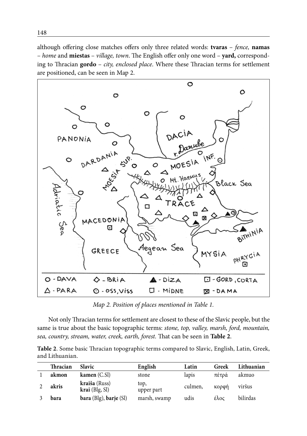although offering close matches offers only three related words: **tvaras** – *fence,* **namas** – *home* and **miestas** – *village, town*. The English offer only one word – **yard,** corresponding to Thracian **gordo** – *city, enclosed place*. Where these Thracian terms for settlement are positioned, can be seen in Map 2.



*Map 2. Position of places mentioned in Table 1.*

Not only Thracian terms for settlement are closest to these of the Slavic people, but the same is true about the basic topographic terms: *stone, top, valley, marsh, ford, mountain, sea, country, stream, water, creek, earth, forest.* That can be seen in **Table 2**.

**Table 2**. Some basic Thracian topographic terms compared to Slavic, English, Latin, Greek, and Lithuanian.

| Thracian | <b>Slavic</b>                     | English            | Latin   | Greek | Lithuanian |
|----------|-----------------------------------|--------------------|---------|-------|------------|
| akmon    | kamen $(C.SI)$                    | stone              | lapis   | πέτοά | akmuo      |
| akris    | kraiša (Russ)<br>$krai$ (Blg, Sl) | top,<br>upper part | culmen, | κορφή | viršus     |
| bara     | bara (Blg), barje (Sl)            | marsh, swamp       | udis    | έλος  | bilirdas   |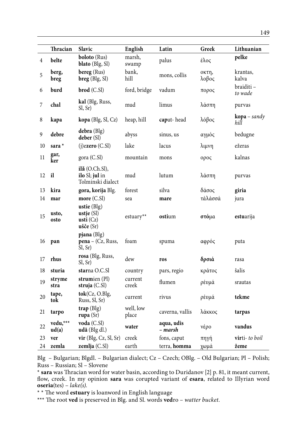|                | Thracian          | <b>Slavic</b>                                                                       | English            | Latin                 | Greek          | Lithuanian                      |
|----------------|-------------------|-------------------------------------------------------------------------------------|--------------------|-----------------------|----------------|---------------------------------|
| $\overline{4}$ | belte             | <b>boloto</b> (Rus)<br>blato (Blg, Sl)                                              | marsh,<br>swamp    | palus                 | έλος           | pelke                           |
| 5              | berg,<br>breg     | bereg (Rus)<br>$breg$ (Blg, Sl)                                                     | bank,<br>hill      | mons, collis          | октп,<br>λοβος | krantas,<br>kalva               |
| 6              | burd              | $brod$ (C.SI)                                                                       | ford, bridge       | vadum                 | πορος          | braiditi –<br>to wade           |
| 7              | chal              | kal (Blg, Russ,<br>Sl, Sr)                                                          | mud                | limus                 | λάσπη          | purvas                          |
| 8              | kapa              | kopa (Blg, Sl, Cz)                                                                  | heap, hill         | caput-head            | λόβος          | $\mathbf{kopa}$ – sandy<br>hill |
| 9              | debre             | $debra$ (Blg)<br>deber (Sl)                                                         | abyss              | sinus, us             | αγμός          | bedugne                         |
| 10             | sara <sup>*</sup> | $(j)$ ezero $(C.S)$                                                                 | lake               | lacus                 | λιμνη          | ežeras                          |
| 11             | gar,<br>ker       | gora (C.Sl)                                                                         | mountain           | mons                  | ορος           | kalnas                          |
| 12             | il                | $i\mathbf{l}$ ă (O.Ch.Sl),<br>ilo SI; jul in<br>Tolminski dialect                   | mud                | lutum                 | λάσπη          | purvas                          |
| 13             | kira              | gora, korija Blg.                                                                   | forest             | silva                 | δάσος          | giria                           |
| 14             | mar               | more $(C.SI)$                                                                       | sea                | mare                  | τάλάσσά        | jura                            |
| 15             | usto,<br>osto     | ustie (Blg)<br>ustje $(Sl)$<br>usti $(Cz)$<br>$u\check{\sigma}\check{\sigma}e$ (Sr) | estuary**          | ostium                | στόμα          | estuarija                       |
| 16             | pan               | $p$ jana (Blg)<br>$pena - (Cz, Russ,$<br>Sl, Sr)                                    | foam               | spuma                 | αφρός          | puta                            |
| 17             | rhus              | rosa (Blg, Russ,<br>Sl, Sr)                                                         | dew                | ros                   | δρσιά          | rasa                            |
| 18             | sturia            | starna O.C.Sl                                                                       | country            | pars, regio           | κράτος         | šalis                           |
| 19             | stryme<br>stra    | strumien (Pl)<br>struja $(C.SI)$                                                    | current<br>creek   | flumen                | ρέυμά          | srautas                         |
| 20             | tape,<br>tok      | tok(Cz, O.Blg,<br>Russ, Sl, Sr)                                                     | current            | rivus                 | ρέυμά          | tekme                           |
| 21             | tarpo             | $trap$ (Blg)<br>rupa $(Sr)$                                                         | well, low<br>place | caverna, vallis       | λάκκος         | tarpas                          |
| 22             | vedu,***<br>ud(a) | voda (C.Sl)<br>udă (Blg dl.)                                                        | water              | aqua, udis<br>– marsh | νέρο           | vandus                          |
| 23             | ver               | $\mathbf{vir}$ (Blg, Cz, Sl, Sr)                                                    | creek              | fons, caput           | πηγή           | <b>vir</b> ti- <i>to boil</i>   |
| 24             | zemla             | zemlja (C.Sl)                                                                       | earth              | terra, homma          | χωμά           | žeme                            |

Blg – Bulgarian; Blgdl. – Bulgarian dialect; Cz – Czech; OBlg. – Old Bulgarian; Pl – Polish; Russ – Russian; Sl – Slovene

\* **sara** was Thracian word for water basin, according to Duridanov [2] p. 81, it meant current, flow, creek. In my opinion **sara** was corupted variant of **esara**, related to Illyrian word **oseria**(tes) – *lake(s).*

\* \* The word **estuary** is loanword in English language

\*\*\* The root **ved** is preserved in Blg. and Sl. words **ved**ro – *watter bucket*.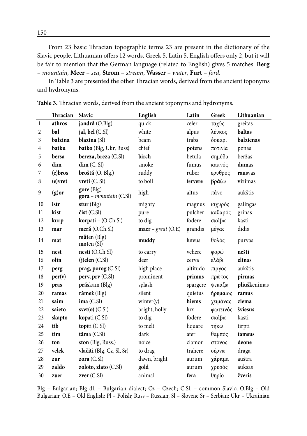From 23 basic Thracian topographic terms 23 are present in the dictionary of the Slavic people. Lithuanian offers 12 words, Greek 5, Latin 5, English offers only 2, but it will be fair to mention that the German language (related to English) gives 5 matches: **Berg**  – *mountain,* **Meer** – *sea,* **Strom** – *stream*, **Wasser** – *water*, **Furt** – *ford*.

In Table 3 are presented the other Thracian words, derived from the ancient toponyms and hydronyms.

|                | Thracian | Slavic                               | English                              | Latin    | Greek    | Lithuanian   |
|----------------|----------|--------------------------------------|--------------------------------------|----------|----------|--------------|
| $\,1$          | athros   | jandră (O.Blg)                       | quick                                | celer    | ταχύς    | greitas      |
| $\overline{2}$ | bal      | jal, bel (C.Sl)                      | white                                | alpus    | λέυκος   | baltas       |
| 3              | balzina  | blazina (Sl)                         | beam                                 | trabs    | δοκάρι   | balzienas    |
| $\overline{4}$ | batku    | batko (Blg, Ukr, Russ)               | chief                                | potens   | ποτινία  | ponas        |
| 5              | bersa    | bereza, breza (C.Sl)                 | birch                                | betula   | σημύδα   | beržas       |
| 6              | dim      | dim (C, Sl)                          | smoke                                | fumus    | καπνός   | dumas        |
| 7              | (e)bros  | broštă (O. Blg.)                     | ruddy                                | ruber    | ερυθρος  | rausvas      |
| 8              | (e) vret | vreti (C. Sl)                        | to boil                              | fervere  | βράζω    | virimas      |
| 9              | $(g)$ or | gore (Blg)<br>gora - mountain (C.Sl) | high                                 | altus    | πάνο     | aukštis      |
| 10             | istr     | stur $(Blg)$                         | mighty                               | magnus   | ισχυρός  | galingas     |
| 11             | kist     | čist (C.Sl)                          | pure                                 | pulcher  | καθαρός  | grinas       |
| 12             | kurp     | korpati - (O.Ch.Sl)                  | to dig                               | fodere   | σκάβω    | kasti        |
| 13             | mar      | meră (O.Ch.Sl)                       | $\textbf{maer} - \text{great}$ (O.E) | grandis  | μέγας    | didis        |
| 14             | mat      | măten (Blg)<br>motor(Sl)             | muddy                                | luteus   | θολός    | purvas       |
| 15             | nest     | nesti (O.Ch.Sl)                      | to carry                             | vehere   | φορώ     | nešti        |
| 16             | olin     | $(i)$ elen $(C.S)$                   | deer                                 | cerva    | ελάβι    | elinas       |
| 17             | perg     | prag, porog (C.Sl)                   | high place                           | altitudo | πιργος   | aukštis      |
| 18             | per(v)   | perv, prv (C.Sl)                     | prominent                            | primus   | πρώτος   | pirmas       |
| 19             | pras     | prăskam (Blg)                        | splash                               | spargere | ψεκάζω   | pliuškenimas |
| 20             | ramas    | rămež (Blg)                          | silent                               | quietus  | ήρεμαιος | ramus        |
| 21             | saim     | ima (C.SI)                           | winter(y)                            | hiems    | χειμάνας | ziema        |
| 22             | saieto   | $svet(o)$ (C.Sl)                     | bright, holly                        | lux      | φωτεινός | šviesus      |
| 23             | skapto   | kopati (C.Sl)                        | to dig                               | fodere   | σκάβω    | kasti        |
| 24             | tib      | topiti (C.Sl)                        | to melt                              | liquare  | τήκω     | tirpti       |
| 25             | tim      | tăma (C.Sl)                          | dark                                 | ater     | θαμπός   | tamsus       |
| 26             | ton      | ston (Blg, Russ.)                    | noice                                | clamor   | στόνος   | deone        |
| $27\,$         | velek    | vlačiti (Blg, Cz, Sl, Sr)            | to drag                              | trahere  | σέρνω    | draga        |
| 28             | zur      | zora (C.Sl)                          | dawn, bright                         | aurum    | χάραμα   | auštra       |
| 29             | zaldo    | zoloto, zlato (C.Sl)                 | gold                                 | aurum    | χρυσός   | auksas       |
| 30             | zuer     | zver(C.SI)                           | animal                               | fera     | θηρίο    | žveris       |

**Table 3.** Thracian words, derived from the ancient toponyms and hydronyms.

Blg – Bulgarian; Blg dl. – Bulgarian dialect; Cz – Czech; C.Sl. – common Slavic; O.Blg – Old Bulgarian; O.E – Old English; Pl – Polish; Russ – Russian; Sl – Slovene Sr – Serbian; Ukr – Ukrainian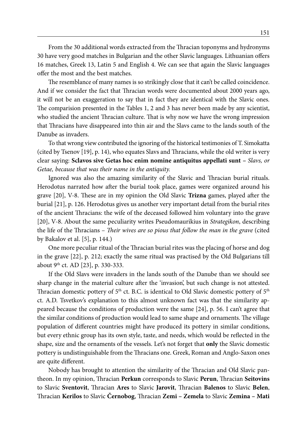From the 30 additional words extracted from the Thracian toponyms and hydronyms 30 have very good matches in Bulgarian and the other Slavic languages. Lithuanian offers 16 matches, Greek 13, Latin 5 and English 4. We can see that again the Slavic languages offer the most and the best matches.

The resemblance of many names is so strikingly close that it can't be called coincidence. And if we consider the fact that Thracian words were documented about 2000 years ago, it will not be an exaggeration to say that in fact they are identical with the Slavic ones. The comparision presented in the Tables 1, 2 and 3 has never been made by any scientist, who studied the ancient Thracian culture. That is why now we have the wrong impression that Thracians have disappeared into thin air and the Slavs came to the lands south of the Danube as invaders.

To that wrong view contributed the ignoring of the historical testimonies of T. Simokatta (cited by Tsenov [19], p. 14), who equates Slavs and Thracians, while the old writer is very clear saying: **Sclavos sive Getas hoc enim nomine antiquitus appellati sunt –** *Slavs, or Getae, because that was their name in the antiquity.*

Ignored was also the amazing similarity of the Slavic and Thracian burial rituals. Herodotus narrated how after the burial took place, games were organized around his grave [20], V-8. These are in my opinion the Old Slavic **Trizna** games, played after the burial [21], p. 126. Herodotus gives us another very important detail from the burial rites of the ancient Thracians: the wife of the deceased followed him voluntary into the grave [20], V-8. About the same peculiarity writes Pseudomaurikius in *Strategikon*, describing the life of the Thracians – *Their wives are so pious that follow the man in the grave* (cited by Bakalov et al. [5], p. 144.)

One more peculiar ritual of the Thracian burial rites was the placing of horse and dog in the grave [22], p. 212; exactly the same ritual was practised by the Old Bulgarians till about 9<sup>th</sup> ct. AD [23], p. 330-333.

If the Old Slavs were invaders in the lands south of the Danube than we should see sharp change in the material culture after the 'invasion', but such change is not attested. Thracian domestic pottery of  $5<sup>th</sup>$  ct. B.C. is identical to Old Slavic domestic pottery of  $5<sup>th</sup>$ ct. A.D. Tsvetkov's explanation to this almost unknown fact was that the similarity appeared because the conditions of production were the same [24], p. 56. I can't agree that the similar conditions of production would lead to same shape and ornaments. The village population of different countries might have produced its pottery in similar conditions, but every ethnic group has its own style, taste, and needs, which would be reflected in the shape, size and the ornaments of the vessels. Let's not forget that **only** the Slavic domestic pottery is undistinguishable from the Thracians one. Greek, Roman and Anglo-Saxon ones are quite different.

Nobody has brought to attention the similarity of the Thracian and Old Slavic pantheon. In my opinion, Thracian **Perkun** corresponds to Slavic **Perun**, Thracian **Seitovins** to Slavic **Sventovit**, Thracian **Ares** to Slavic **Jarovit**, Thracian **Balenos** to Slavic **Belen**, Thracian **Kerilos** to Slavic **Černobog**, Thracian **Zemi – Zemela** to Slavic **Zemina – Mati**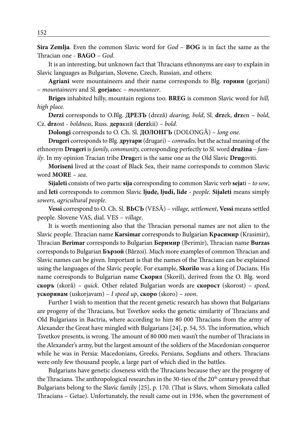**Sira Zemlja**. Even the common Slavic word for *God* – **BOG** is in fact the same as the Thracian one - **BAGO** – *God*.

It is an interesting, but unknown fact that Thracians ethnonyms are easy to explain in Slavic languages as Bulgarian, Slovene, Czech, Russian, and others:

**Agriani** were mountaineers and their name corresponds to Blg. **горяни** (gorjani) – *mountaineers* and Sl. **gorjan**ec – *mountaneer*.

**Briges** inhabited hilly, mountain regions too. **BREG** is common Slavic word for *hill, high place.*

**Derzi** corresponds to O.Blg. **ДРЕЗЪ** (drezǎ) *dearing, bold*, Sl. **drz**ek, **drz**en – *bold*, Cz. **drz**ost - *boldness*, Russ. **дерз**кий (**derz**kii) – *bold*.

**Dolongi** corresponds to O. Ch. Sl. **ДОЛОНГЪ** (DOLONGǍ) – *long one*.

**Drugeri** corresponds to Blg. **другари** (drugari) – *comrades,* but the actual meaning of the ethnonym **Drugeri** is *family, community,* corresponding perfectly to Sl. word **družina** *– family*. In my opinion Tracian tribe **Drug**eri is the same one as the Old Slavic **Drug**oviti.

**Moriseni** lived at the coast of Black Sea, their name corresponds to common Slavic word **MORE** *– sea*.

**Sijaleti** consists of two parts: **sija** corresponding to common Slavic verb **seja**ti – *to sow*, and **leti** corresponds to common Slavic **ljude, ljudi, lide** *- people*. **Sijaleti** means simply *sowers, agricultural people.*

**Vessi** correspond to O. Ch. Sl. **ВЬСЪ** (VESǍ) – *village, settlement*, **Vessi** means settled people. Slovene VAS, dial. VES – *village*.

It is worth mentioning also that the Thracian personal names are not alien to the Slavic people. Thracian name **Karsimar** corresponds to Bulgarian **Красимир** (Krasimir), Thracian **Berimar** corresponds to Bulgarian **Беримир** (Berimir), Thracian name **Burzas** corresponds to Bulgarian **Бързой** (Bǎrzoi). Much more examples of common Thracian and Slavic names can be given. Important is that the names of the Thracians can be explained using the languages of the Slavic people. For example, **Skorilo** was a king of Dacians. His name corresponds to Bulgarian name **Скорил** (Skoril), derived from the O. Blg. word **скоръ** (skorǎ) – *quick*. Other related Bulgarian words are **скорост** (skorost) – *speed*, **ускорявам** (uskorjavam) – *I speed up*, **скоро** (skoro) – *soon*.

Further I wish to mention that the recent genetic research has shown that Bulgarians are progeny of the Thracians, but Tsvetkov seeks the genetic similarity of Thracians and Old Bulgarians in Bactria, where according to him 80 000 Thracians from the army of Alexander the Great have mingled with Bulgarians [24], p. 54, 55. The information, which Tsvetkov presents, is wrong. The amount of 80 000 men wasn't the number of Thracians in the Alexander's army, but the largest amount of the soldiers of the Macedonian conqueror while he was in Persia: Macedonians, Greeks, Persians, Sogdians and others. Thracians were only few thousand people, a large part of which died in the battles.

Bulgarians have genetic closeness with the Thracians because they are the progeny of the Thracians. The anthropological researches in the 30-ties of the 20<sup>th</sup> century proved that Bulgarians belong to the Slavic family [25], p. 170. (That is Slavs, whom Simokata called Thracians – Getae). Unfortunately, the result came out in 1936, when the government of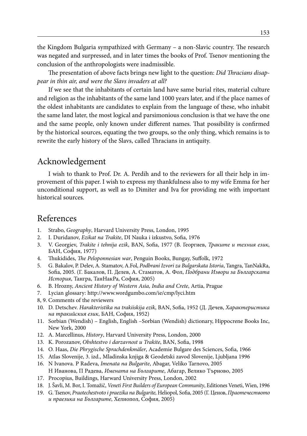the Kingdom Bulgaria sympathized with Germany – a non-Slavic country. The research was negated and surpressed, and in later times the books of Prof. Tsenov mentioning the conclusion of the anthropologists were inadmissible.

The presentation of above facts brings new light to the question: *Did Thracians disappear in thin air, and were the Slavs invaders at all?*

If we see that the inhabitants of certain land have same burial rites, material culture and religion as the inhabitants of the same land 1000 years later, and if the place names of the oldest inhabitants are candidates to explain from the language of these, who inhabit the same land later, the most logical and parsimonious conclusion is that we have the one and the same people, only known under different names. That possibility is confirmed by the historical sources, equating the two groups, so the only thing, which remains is to rewrite the early history of the Slavs, called Thracians in antiquity.

#### Acknowledgement

I wish to thank to Prof. Dr. A. Perdih and to the reviewers for all their help in improvement of this paper. I wish to express my thankfulness also to my wife Emma for her unconditional support, as well as to Dimiter and Iva for providing me with important historical sources.

# References

- 1. Strabo, *Geography*, Harvard University Press, London, 1995
- 2. I. Duridanov, *Ezikat na Trakite*, DI Nauka i izkustvo, Sofia, 1976
- 3. V. Georgiev, *Trakite i tehnija ezik*, BAN, Sofia, 1977 (В. Георгиев, *Траките и техния език*, БАН, София, 1977)
- 4. Thukidides, *The Peloponnesian war*, Penguin Books, Bungay, Suffolk, 1972
- 5. G. Bakalov, P. Delev, A. Stamatov, A.Fol, *Podbrani Izvori za Bulgarskata Istoria*, Tangra, TanNakRa, Sofia, 2005. (Г. Бакалов, П. Делев, А. Стаматов, А. Фол, *Подбрани Извори за Българската История*, Тангра, ТанНакРа, София, 2005)
- 6. B. Hrozny, *Ancient History of Western Asia, India and Crete*, Artia, Prague
- 7. Lycian glossary: http://www.wordgumbo.com/ie/cmp/lyci.htm
- 8, 9. Comments of the reviewers
- 10. D. Detschev. *Harakteristika na trakiiskija ezik*, BAN, Sofia, 1952 (Д. Дечев, *Характеристика на тракийския език*, БАН, София, 1952)
- 11. Sorbian (Wendish) English, English –Sorbian (Wendish) dictionary, Hippocrene Books Inc, New York, 2000
- 12. A. Marcellinus, *History*, Harvard University Press, London, 2000
- 13. K. Porozanov, *Obshtestvo i darzavnost u Trakite*, BAN, Sofia, 1998
- 14. O. Haas, *Die Phrygische Sprachdenkmäler*, Academie Bulgare des Sciences, Sofia, 1966
- 15. Atlas Slovenije, 3. izd., Mladinska knjiga & Geodetski zavod Slovenije, Ljubljana 1996
- 16. N Ivanova. P Radeva, *Imenata na Bulgarite*, Abagar, Veliko Tarnovo, 2005 H Иванова, П Радева, *Имената на Българите*, Абагар, Велико Търново, 2005
- 17. Procopius, Buildings, Harward University Press, London, 2002
- 18. J. Šavli, M. Bor, I. Tomažič, *Veneti First Builders of European Community*, Editiones Veneti, Wien, 1996
- 19. G. Tsenov, *Praotechestvoto i praezika na Bulgarite,* Heliopol, Sofia, 2005 (Г. Ценов, *Праотечеството и праезика на Българите*, Хелиопол, София, 2005)